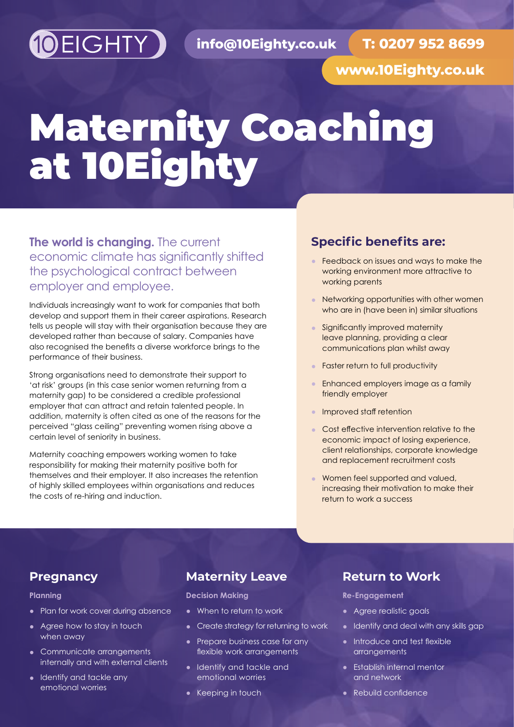

**T: 0207 952 8699**

**www.10Eighty.co.uk**

# Maternity Coaching at 10Eighty

#### **The world is changing.** The current economic climate has significantly shifted the psychological contract between employer and employee.

Individuals increasingly want to work for companies that both develop and support them in their career aspirations. Research tells us people will stay with their organisation because they are developed rather than because of salary. Companies have also recognised the benefits a diverse workforce brings to the performance of their business.

Strong organisations need to demonstrate their support to 'at risk' groups (in this case senior women returning from a maternity gap) to be considered a credible professional employer that can attract and retain talented people. In addition, maternity is often cited as one of the reasons for the perceived "glass ceiling" preventing women rising above a certain level of seniority in business.

Maternity coaching empowers working women to take responsibility for making their maternity positive both for themselves and their employer. It also increases the retention of highly skilled employees within organisations and reduces the costs of re-hiring and induction.

#### **Specific benefits are:**

- **•** Feedback on issues and ways to make the working environment more attractive to working parents
- **•** Networking opportunities with other women who are in (have been in) similar situations
- **•** Significantly improved maternity leave planning, providing a clear communications plan whilst away
- **•** Faster return to full productivity
- **•** Enhanced employers image as a family friendly employer
- **•** Improved staff retention
- **•** Cost effective intervention relative to the economic impact of losing experience, client relationships, corporate knowledge and replacement recruitment costs
- **•** Women feel supported and valued, increasing their motivation to make their return to work a success

#### **Pregnancy**

#### **Planning**

- **•** Plan for work cover during absence
- **•** Agree how to stay in touch when away
- **•** Communicate arrangements internally and with external clients
- **•** Identify and tackle any emotional worries

#### **Maternity Leave**

**Decision Making**

- **•** When to return to work
- **•** Create strategy for returning to work
- **•** Prepare business case for any flexible work arrangements
- **•** Identify and tackle and emotional worries
- **•** Keeping in touch

#### **Return to Work**

**Re-Engagement**

- **•** Agree realistic goals
- **•** Identify and deal with any skills gap
- **•** Introduce and test flexible arrangements
- **•** Establish internal mentor and network
- **•** Rebuild confidence